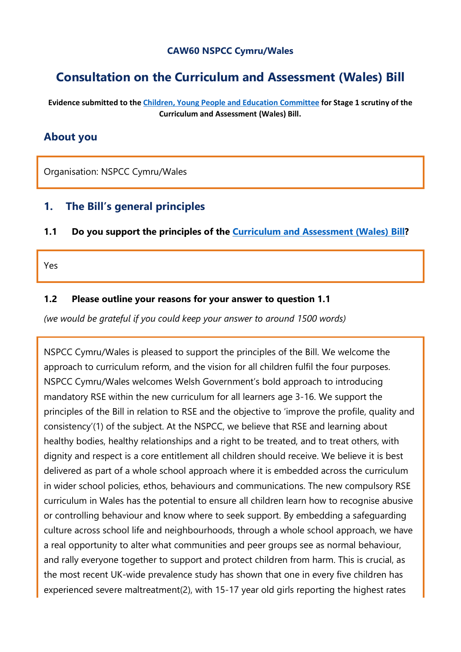#### **CAW60 NSPCC Cymru/Wales**

# **Consultation on the Curriculum and Assessment (Wales) Bill**

**Evidence submitted to the [Children, Young People and Education Committee](http://senedd.assembly.wales/mgCommitteeDetails.aspx?ID=443) for Stage 1 scrutiny of the Curriculum and Assessment (Wales) Bill.**

### **About you**

Organisation: NSPCC Cymru/Wales

### **1. The Bill's general principles**

**1.1 Do you support the principles of the [Curriculum and Assessment \(Wales\) Bill?](https://business.senedd.wales/mgIssueHistoryHome.aspx?IId=28836)**

Yes

#### **1.2 Please outline your reasons for your answer to question 1.1**

*(we would be grateful if you could keep your answer to around 1500 words)*

NSPCC Cymru/Wales is pleased to support the principles of the Bill. We welcome the approach to curriculum reform, and the vision for all children fulfil the four purposes. NSPCC Cymru/Wales welcomes Welsh Government's bold approach to introducing mandatory RSE within the new curriculum for all learners age 3-16. We support the principles of the Bill in relation to RSE and the objective to 'improve the profile, quality and consistency'(1) of the subject. At the NSPCC, we believe that RSE and learning about healthy bodies, healthy relationships and a right to be treated, and to treat others, with dignity and respect is a core entitlement all children should receive. We believe it is best delivered as part of a whole school approach where it is embedded across the curriculum in wider school policies, ethos, behaviours and communications. The new compulsory RSE curriculum in Wales has the potential to ensure all children learn how to recognise abusive or controlling behaviour and know where to seek support. By embedding a safeguarding culture across school life and neighbourhoods, through a whole school approach, we have a real opportunity to alter what communities and peer groups see as normal behaviour, and rally everyone together to support and protect children from harm. This is crucial, as the most recent UK-wide prevalence study has shown that one in every five children has experienced severe maltreatment(2), with 15-17 year old girls reporting the highest rates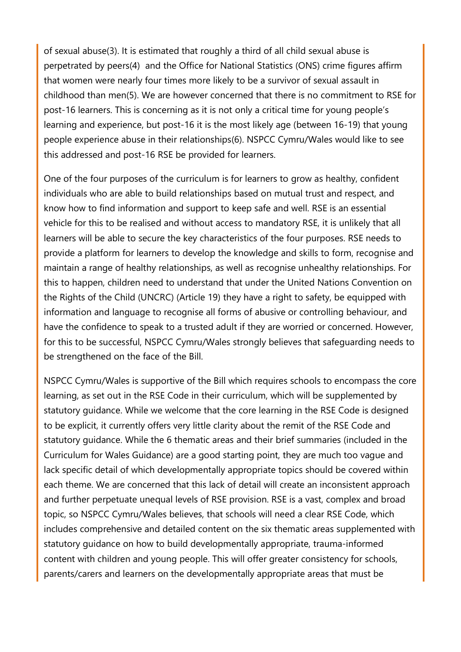of sexual abuse(3). It is estimated that roughly a third of all child sexual abuse is perpetrated by peers(4) and the Office for National Statistics (ONS) crime figures affirm that women were nearly four times more likely to be a survivor of sexual assault in childhood than men(5). We are however concerned that there is no commitment to RSE for post-16 learners. This is concerning as it is not only a critical time for young people's learning and experience, but post-16 it is the most likely age (between 16-19) that young people experience abuse in their relationships(6). NSPCC Cymru/Wales would like to see this addressed and post-16 RSE be provided for learners.

One of the four purposes of the curriculum is for learners to grow as healthy, confident individuals who are able to build relationships based on mutual trust and respect, and know how to find information and support to keep safe and well. RSE is an essential vehicle for this to be realised and without access to mandatory RSE, it is unlikely that all learners will be able to secure the key characteristics of the four purposes. RSE needs to provide a platform for learners to develop the knowledge and skills to form, recognise and maintain a range of healthy relationships, as well as recognise unhealthy relationships. For this to happen, children need to understand that under the United Nations Convention on the Rights of the Child (UNCRC) (Article 19) they have a right to safety, be equipped with information and language to recognise all forms of abusive or controlling behaviour, and have the confidence to speak to a trusted adult if they are worried or concerned. However, for this to be successful, NSPCC Cymru/Wales strongly believes that safeguarding needs to be strengthened on the face of the Bill.

NSPCC Cymru/Wales is supportive of the Bill which requires schools to encompass the core learning, as set out in the RSE Code in their curriculum, which will be supplemented by statutory guidance. While we welcome that the core learning in the RSE Code is designed to be explicit, it currently offers very little clarity about the remit of the RSE Code and statutory guidance. While the 6 thematic areas and their brief summaries (included in the Curriculum for Wales Guidance) are a good starting point, they are much too vague and lack specific detail of which developmentally appropriate topics should be covered within each theme. We are concerned that this lack of detail will create an inconsistent approach and further perpetuate unequal levels of RSE provision. RSE is a vast, complex and broad topic, so NSPCC Cymru/Wales believes, that schools will need a clear RSE Code, which includes comprehensive and detailed content on the six thematic areas supplemented with statutory guidance on how to build developmentally appropriate, trauma-informed content with children and young people. This will offer greater consistency for schools, parents/carers and learners on the developmentally appropriate areas that must be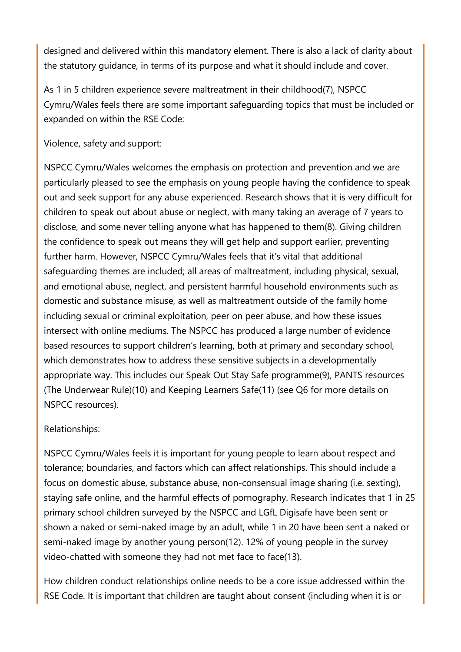designed and delivered within this mandatory element. There is also a lack of clarity about the statutory guidance, in terms of its purpose and what it should include and cover.

As 1 in 5 children experience severe maltreatment in their childhood(7), NSPCC Cymru/Wales feels there are some important safeguarding topics that must be included or expanded on within the RSE Code:

Violence, safety and support:

NSPCC Cymru/Wales welcomes the emphasis on protection and prevention and we are particularly pleased to see the emphasis on young people having the confidence to speak out and seek support for any abuse experienced. Research shows that it is very difficult for children to speak out about abuse or neglect, with many taking an average of 7 years to disclose, and some never telling anyone what has happened to them(8). Giving children the confidence to speak out means they will get help and support earlier, preventing further harm. However, NSPCC Cymru/Wales feels that it's vital that additional safeguarding themes are included; all areas of maltreatment, including physical, sexual, and emotional abuse, neglect, and persistent harmful household environments such as domestic and substance misuse, as well as maltreatment outside of the family home including sexual or criminal exploitation, peer on peer abuse, and how these issues intersect with online mediums. The NSPCC has produced a large number of evidence based resources to support children's learning, both at primary and secondary school, which demonstrates how to address these sensitive subjects in a developmentally appropriate way. This includes our Speak Out Stay Safe programme(9), PANTS resources (The Underwear Rule)(10) and Keeping Learners Safe(11) (see Q6 for more details on NSPCC resources).

## Relationships:

NSPCC Cymru/Wales feels it is important for young people to learn about respect and tolerance; boundaries, and factors which can affect relationships. This should include a focus on domestic abuse, substance abuse, non-consensual image sharing (i.e. sexting), staying safe online, and the harmful effects of pornography. Research indicates that 1 in 25 primary school children surveyed by the NSPCC and LGfL Digisafe have been sent or shown a naked or semi-naked image by an adult, while 1 in 20 have been sent a naked or semi-naked image by another young person(12). 12% of young people in the survey video-chatted with someone they had not met face to face(13).

How children conduct relationships online needs to be a core issue addressed within the RSE Code. It is important that children are taught about consent (including when it is or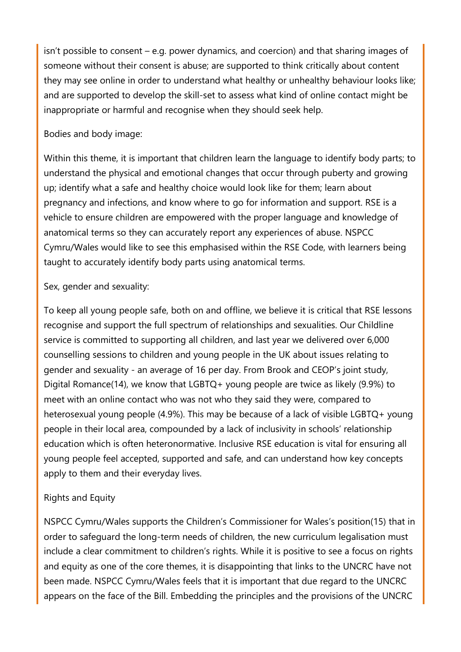isn't possible to consent – e.g. power dynamics, and coercion) and that sharing images of someone without their consent is abuse; are supported to think critically about content they may see online in order to understand what healthy or unhealthy behaviour looks like; and are supported to develop the skill-set to assess what kind of online contact might be inappropriate or harmful and recognise when they should seek help.

### Bodies and body image:

Within this theme, it is important that children learn the language to identify body parts; to understand the physical and emotional changes that occur through puberty and growing up; identify what a safe and healthy choice would look like for them; learn about pregnancy and infections, and know where to go for information and support. RSE is a vehicle to ensure children are empowered with the proper language and knowledge of anatomical terms so they can accurately report any experiences of abuse. NSPCC Cymru/Wales would like to see this emphasised within the RSE Code, with learners being taught to accurately identify body parts using anatomical terms.

#### Sex, gender and sexuality:

To keep all young people safe, both on and offline, we believe it is critical that RSE lessons recognise and support the full spectrum of relationships and sexualities. Our Childline service is committed to supporting all children, and last year we delivered over 6,000 counselling sessions to children and young people in the UK about issues relating to gender and sexuality - an average of 16 per day. From Brook and CEOP's joint study, Digital Romance(14), we know that LGBTQ+ young people are twice as likely (9.9%) to meet with an online contact who was not who they said they were, compared to heterosexual young people (4.9%). This may be because of a lack of visible LGBTQ+ young people in their local area, compounded by a lack of inclusivity in schools' relationship education which is often heteronormative. Inclusive RSE education is vital for ensuring all young people feel accepted, supported and safe, and can understand how key concepts apply to them and their everyday lives.

## Rights and Equity

NSPCC Cymru/Wales supports the Children's Commissioner for Wales's position(15) that in order to safeguard the long-term needs of children, the new curriculum legalisation must include a clear commitment to children's rights. While it is positive to see a focus on rights and equity as one of the core themes, it is disappointing that links to the UNCRC have not been made. NSPCC Cymru/Wales feels that it is important that due regard to the UNCRC appears on the face of the Bill. Embedding the principles and the provisions of the UNCRC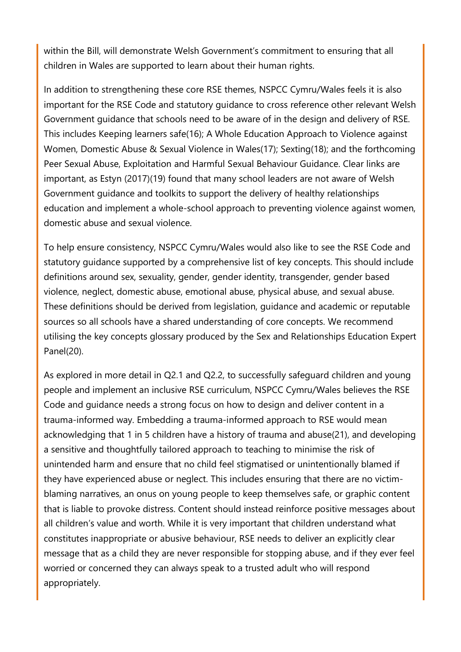within the Bill, will demonstrate Welsh Government's commitment to ensuring that all children in Wales are supported to learn about their human rights.

In addition to strengthening these core RSE themes, NSPCC Cymru/Wales feels it is also important for the RSE Code and statutory guidance to cross reference other relevant Welsh Government guidance that schools need to be aware of in the design and delivery of RSE. This includes Keeping learners safe(16); A Whole Education Approach to Violence against Women, Domestic Abuse & Sexual Violence in Wales(17); Sexting(18); and the forthcoming Peer Sexual Abuse, Exploitation and Harmful Sexual Behaviour Guidance. Clear links are important, as Estyn (2017)(19) found that many school leaders are not aware of Welsh Government guidance and toolkits to support the delivery of healthy relationships education and implement a whole-school approach to preventing violence against women, domestic abuse and sexual violence.

To help ensure consistency, NSPCC Cymru/Wales would also like to see the RSE Code and statutory guidance supported by a comprehensive list of key concepts. This should include definitions around sex, sexuality, gender, gender identity, transgender, gender based violence, neglect, domestic abuse, emotional abuse, physical abuse, and sexual abuse. These definitions should be derived from legislation, guidance and academic or reputable sources so all schools have a shared understanding of core concepts. We recommend utilising the key concepts glossary produced by the Sex and Relationships Education Expert Panel(20).

As explored in more detail in Q2.1 and Q2.2, to successfully safeguard children and young people and implement an inclusive RSE curriculum, NSPCC Cymru/Wales believes the RSE Code and guidance needs a strong focus on how to design and deliver content in a trauma-informed way. Embedding a trauma-informed approach to RSE would mean acknowledging that 1 in 5 children have a history of trauma and abuse(21), and developing a sensitive and thoughtfully tailored approach to teaching to minimise the risk of unintended harm and ensure that no child feel stigmatised or unintentionally blamed if they have experienced abuse or neglect. This includes ensuring that there are no victimblaming narratives, an onus on young people to keep themselves safe, or graphic content that is liable to provoke distress. Content should instead reinforce positive messages about all children's value and worth. While it is very important that children understand what constitutes inappropriate or abusive behaviour, RSE needs to deliver an explicitly clear message that as a child they are never responsible for stopping abuse, and if they ever feel worried or concerned they can always speak to a trusted adult who will respond appropriately.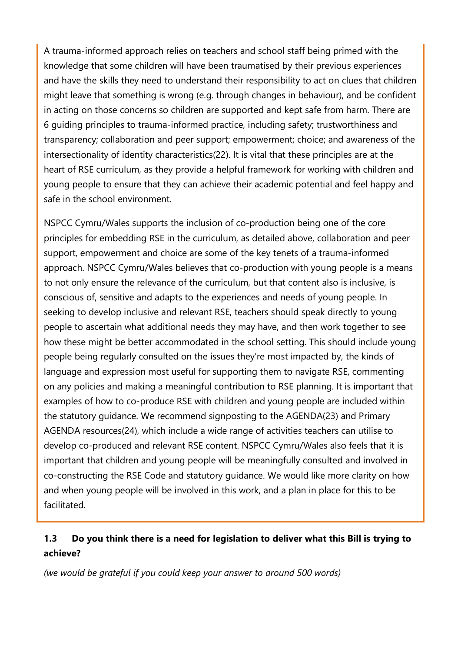A trauma-informed approach relies on teachers and school staff being primed with the knowledge that some children will have been traumatised by their previous experiences and have the skills they need to understand their responsibility to act on clues that children might leave that something is wrong (e.g. through changes in behaviour), and be confident in acting on those concerns so children are supported and kept safe from harm. There are 6 guiding principles to trauma-informed practice, including safety; trustworthiness and transparency; collaboration and peer support; empowerment; choice; and awareness of the intersectionality of identity characteristics(22). It is vital that these principles are at the heart of RSE curriculum, as they provide a helpful framework for working with children and young people to ensure that they can achieve their academic potential and feel happy and safe in the school environment.

NSPCC Cymru/Wales supports the inclusion of co-production being one of the core principles for embedding RSE in the curriculum, as detailed above, collaboration and peer support, empowerment and choice are some of the key tenets of a trauma-informed approach. NSPCC Cymru/Wales believes that co-production with young people is a means to not only ensure the relevance of the curriculum, but that content also is inclusive, is conscious of, sensitive and adapts to the experiences and needs of young people. In seeking to develop inclusive and relevant RSE, teachers should speak directly to young people to ascertain what additional needs they may have, and then work together to see how these might be better accommodated in the school setting. This should include young people being regularly consulted on the issues they're most impacted by, the kinds of language and expression most useful for supporting them to navigate RSE, commenting on any policies and making a meaningful contribution to RSE planning. It is important that examples of how to co-produce RSE with children and young people are included within the statutory guidance. We recommend signposting to the AGENDA(23) and Primary AGENDA resources(24), which include a wide range of activities teachers can utilise to develop co-produced and relevant RSE content. NSPCC Cymru/Wales also feels that it is important that children and young people will be meaningfully consulted and involved in co-constructing the RSE Code and statutory guidance. We would like more clarity on how and when young people will be involved in this work, and a plan in place for this to be facilitated.

# **1.3 Do you think there is a need for legislation to deliver what this Bill is trying to achieve?**

*(we would be grateful if you could keep your answer to around 500 words)*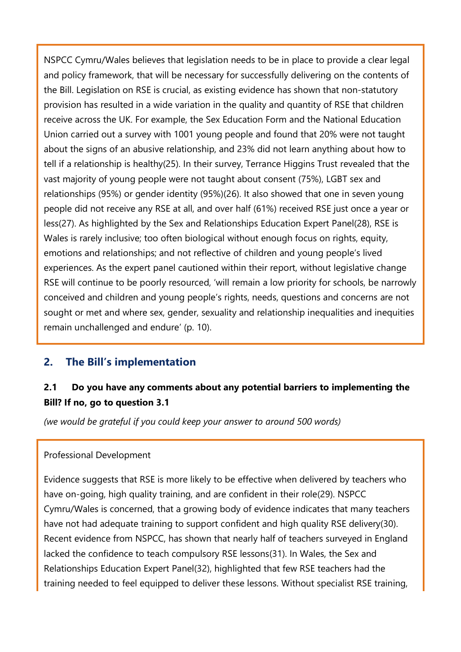NSPCC Cymru/Wales believes that legislation needs to be in place to provide a clear legal and policy framework, that will be necessary for successfully delivering on the contents of the Bill. Legislation on RSE is crucial, as existing evidence has shown that non-statutory provision has resulted in a wide variation in the quality and quantity of RSE that children receive across the UK. For example, the Sex Education Form and the National Education Union carried out a survey with 1001 young people and found that 20% were not taught about the signs of an abusive relationship, and 23% did not learn anything about how to tell if a relationship is healthy(25). In their survey, Terrance Higgins Trust revealed that the vast majority of young people were not taught about consent (75%), LGBT sex and relationships (95%) or gender identity (95%)(26). It also showed that one in seven young people did not receive any RSE at all, and over half (61%) received RSE just once a year or less(27). As highlighted by the Sex and Relationships Education Expert Panel(28), RSE is Wales is rarely inclusive; too often biological without enough focus on rights, equity, emotions and relationships; and not reflective of children and young people's lived experiences. As the expert panel cautioned within their report, without legislative change RSE will continue to be poorly resourced, 'will remain a low priority for schools, be narrowly conceived and children and young people's rights, needs, questions and concerns are not sought or met and where sex, gender, sexuality and relationship inequalities and inequities remain unchallenged and endure' (p. 10).

## **2. The Bill's implementation**

# **2.1 Do you have any comments about any potential barriers to implementing the Bill? If no, go to question 3.1**

*(we would be grateful if you could keep your answer to around 500 words)*

#### Professional Development

Evidence suggests that RSE is more likely to be effective when delivered by teachers who have on-going, high quality training, and are confident in their role(29). NSPCC Cymru/Wales is concerned, that a growing body of evidence indicates that many teachers have not had adequate training to support confident and high quality RSE delivery(30). Recent evidence from NSPCC, has shown that nearly half of teachers surveyed in England lacked the confidence to teach compulsory RSE lessons(31). In Wales, the Sex and Relationships Education Expert Panel(32), highlighted that few RSE teachers had the training needed to feel equipped to deliver these lessons. Without specialist RSE training,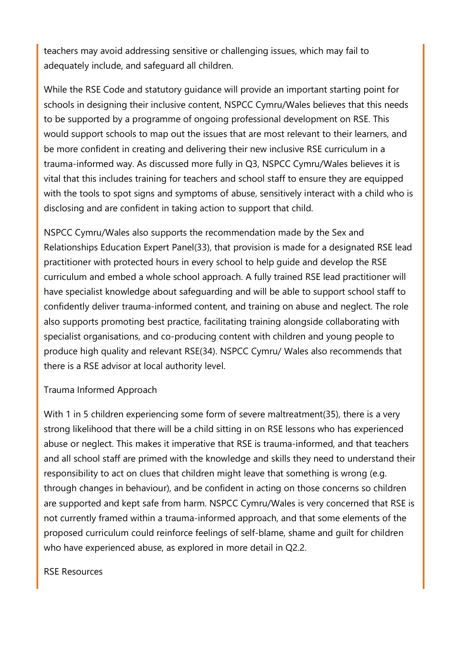teachers may avoid addressing sensitive or challenging issues, which may fail to adequately include, and safeguard all children.

While the RSE Code and statutory guidance will provide an important starting point for schools in designing their inclusive content, NSPCC Cymru/Wales believes that this needs to be supported by a programme of ongoing professional development on RSE. This would support schools to map out the issues that are most relevant to their learners, and be more confident in creating and delivering their new inclusive RSE curriculum in a trauma-informed way. As discussed more fully in Q3, NSPCC Cymru/Wales believes it is vital that this includes training for teachers and school staff to ensure they are equipped with the tools to spot signs and symptoms of abuse, sensitively interact with a child who is disclosing and are confident in taking action to support that child.

NSPCC Cymru/Wales also supports the recommendation made by the Sex and Relationships Education Expert Panel(33), that provision is made for a designated RSE lead practitioner with protected hours in every school to help guide and develop the RSE curriculum and embed a whole school approach. A fully trained RSE lead practitioner will have specialist knowledge about safeguarding and will be able to support school staff to confidently deliver trauma-informed content, and training on abuse and neglect. The role also supports promoting best practice, facilitating training alongside collaborating with specialist organisations, and co-producing content with children and young people to produce high quality and relevant RSE(34). NSPCC Cymru/ Wales also recommends that there is a RSE advisor at local authority level.

#### Trauma Informed Approach

With 1 in 5 children experiencing some form of severe maltreatment(35), there is a very strong likelihood that there will be a child sitting in on RSE lessons who has experienced abuse or neglect. This makes it imperative that RSE is trauma-informed, and that teachers and all school staff are primed with the knowledge and skills they need to understand their responsibility to act on clues that children might leave that something is wrong (e.g. through changes in behaviour), and be confident in acting on those concerns so children are supported and kept safe from harm. NSPCC Cymru/Wales is very concerned that RSE is not currently framed within a trauma-informed approach, and that some elements of the proposed curriculum could reinforce feelings of self-blame, shame and guilt for children who have experienced abuse, as explored in more detail in Q2.2.

#### RSE Resources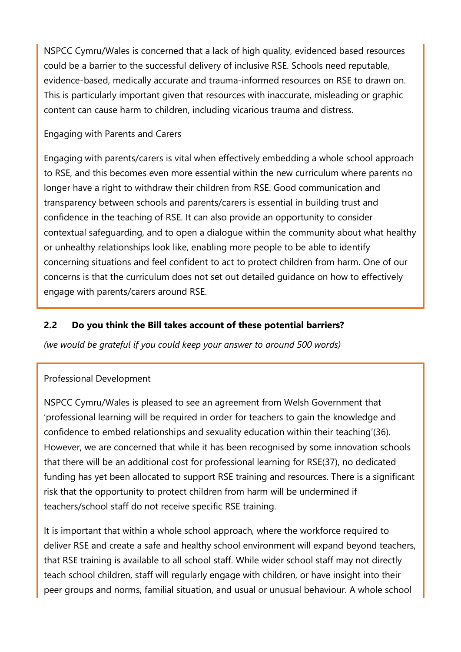NSPCC Cymru/Wales is concerned that a lack of high quality, evidenced based resources could be a barrier to the successful delivery of inclusive RSE. Schools need reputable, evidence-based, medically accurate and trauma-informed resources on RSE to drawn on. This is particularly important given that resources with inaccurate, misleading or graphic content can cause harm to children, including vicarious trauma and distress.

### Engaging with Parents and Carers

Engaging with parents/carers is vital when effectively embedding a whole school approach to RSE, and this becomes even more essential within the new curriculum where parents no longer have a right to withdraw their children from RSE. Good communication and transparency between schools and parents/carers is essential in building trust and confidence in the teaching of RSE. It can also provide an opportunity to consider contextual safeguarding, and to open a dialogue within the community about what healthy or unhealthy relationships look like, enabling more people to be able to identify concerning situations and feel confident to act to protect children from harm. One of our concerns is that the curriculum does not set out detailed guidance on how to effectively engage with parents/carers around RSE.

## **2.2 Do you think the Bill takes account of these potential barriers?**

*(we would be grateful if you could keep your answer to around 500 words)*

#### Professional Development

NSPCC Cymru/Wales is pleased to see an agreement from Welsh Government that 'professional learning will be required in order for teachers to gain the knowledge and confidence to embed relationships and sexuality education within their teaching'(36). However, we are concerned that while it has been recognised by some innovation schools that there will be an additional cost for professional learning for RSE(37), no dedicated funding has yet been allocated to support RSE training and resources. There is a significant risk that the opportunity to protect children from harm will be undermined if teachers/school staff do not receive specific RSE training.

It is important that within a whole school approach, where the workforce required to deliver RSE and create a safe and healthy school environment will expand beyond teachers, that RSE training is available to all school staff. While wider school staff may not directly teach school children, staff will regularly engage with children, or have insight into their peer groups and norms, familial situation, and usual or unusual behaviour. A whole school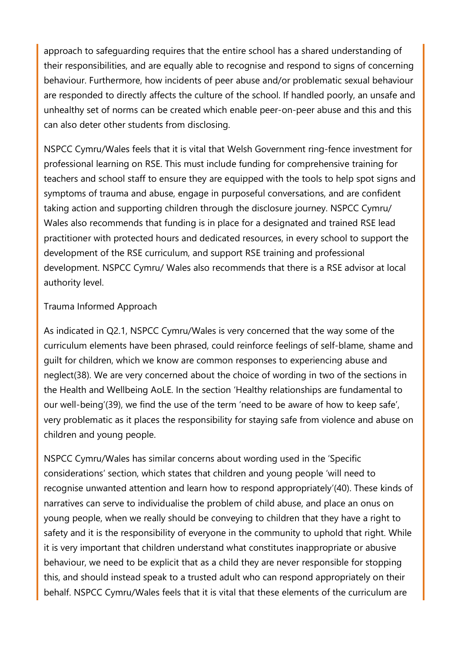approach to safeguarding requires that the entire school has a shared understanding of their responsibilities, and are equally able to recognise and respond to signs of concerning behaviour. Furthermore, how incidents of peer abuse and/or problematic sexual behaviour are responded to directly affects the culture of the school. If handled poorly, an unsafe and unhealthy set of norms can be created which enable peer-on-peer abuse and this and this can also deter other students from disclosing.

NSPCC Cymru/Wales feels that it is vital that Welsh Government ring-fence investment for professional learning on RSE. This must include funding for comprehensive training for teachers and school staff to ensure they are equipped with the tools to help spot signs and symptoms of trauma and abuse, engage in purposeful conversations, and are confident taking action and supporting children through the disclosure journey. NSPCC Cymru/ Wales also recommends that funding is in place for a designated and trained RSE lead practitioner with protected hours and dedicated resources, in every school to support the development of the RSE curriculum, and support RSE training and professional development. NSPCC Cymru/ Wales also recommends that there is a RSE advisor at local authority level.

#### Trauma Informed Approach

As indicated in Q2.1, NSPCC Cymru/Wales is very concerned that the way some of the curriculum elements have been phrased, could reinforce feelings of self-blame, shame and guilt for children, which we know are common responses to experiencing abuse and neglect(38). We are very concerned about the choice of wording in two of the sections in the Health and Wellbeing AoLE. In the section 'Healthy relationships are fundamental to our well-being'(39), we find the use of the term 'need to be aware of how to keep safe', very problematic as it places the responsibility for staying safe from violence and abuse on children and young people.

NSPCC Cymru/Wales has similar concerns about wording used in the 'Specific considerations' section, which states that children and young people 'will need to recognise unwanted attention and learn how to respond appropriately'(40). These kinds of narratives can serve to individualise the problem of child abuse, and place an onus on young people, when we really should be conveying to children that they have a right to safety and it is the responsibility of everyone in the community to uphold that right. While it is very important that children understand what constitutes inappropriate or abusive behaviour, we need to be explicit that as a child they are never responsible for stopping this, and should instead speak to a trusted adult who can respond appropriately on their behalf. NSPCC Cymru/Wales feels that it is vital that these elements of the curriculum are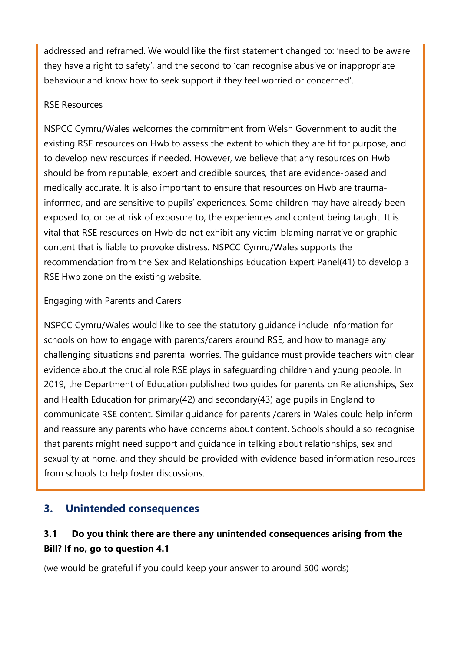addressed and reframed. We would like the first statement changed to: 'need to be aware they have a right to safety', and the second to 'can recognise abusive or inappropriate behaviour and know how to seek support if they feel worried or concerned'.

### RSE Resources

NSPCC Cymru/Wales welcomes the commitment from Welsh Government to audit the existing RSE resources on Hwb to assess the extent to which they are fit for purpose, and to develop new resources if needed. However, we believe that any resources on Hwb should be from reputable, expert and credible sources, that are evidence-based and medically accurate. It is also important to ensure that resources on Hwb are traumainformed, and are sensitive to pupils' experiences. Some children may have already been exposed to, or be at risk of exposure to, the experiences and content being taught. It is vital that RSE resources on Hwb do not exhibit any victim-blaming narrative or graphic content that is liable to provoke distress. NSPCC Cymru/Wales supports the recommendation from the Sex and Relationships Education Expert Panel(41) to develop a RSE Hwb zone on the existing website.

### Engaging with Parents and Carers

NSPCC Cymru/Wales would like to see the statutory guidance include information for schools on how to engage with parents/carers around RSE, and how to manage any challenging situations and parental worries. The guidance must provide teachers with clear evidence about the crucial role RSE plays in safeguarding children and young people. In 2019, the Department of Education published two guides for parents on Relationships, Sex and Health Education for primary(42) and secondary(43) age pupils in England to communicate RSE content. Similar guidance for parents /carers in Wales could help inform and reassure any parents who have concerns about content. Schools should also recognise that parents might need support and guidance in talking about relationships, sex and sexuality at home, and they should be provided with evidence based information resources from schools to help foster discussions.

## **3. Unintended consequences**

# **3.1 Do you think there are there any unintended consequences arising from the Bill? If no, go to question 4.1**

(we would be grateful if you could keep your answer to around 500 words)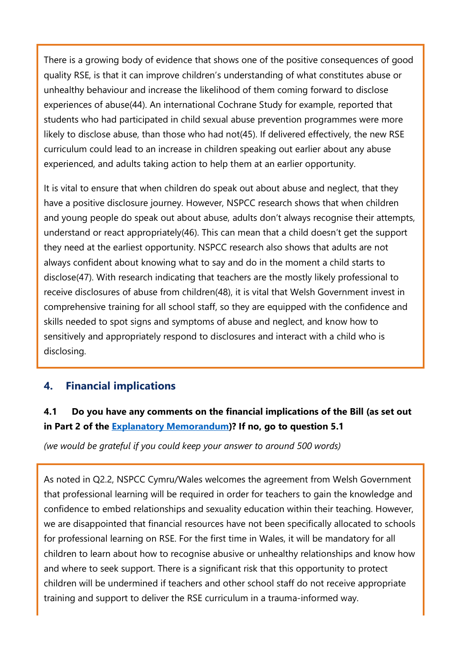There is a growing body of evidence that shows one of the positive consequences of good quality RSE, is that it can improve children's understanding of what constitutes abuse or unhealthy behaviour and increase the likelihood of them coming forward to disclose experiences of abuse(44). An international Cochrane Study for example, reported that students who had participated in child sexual abuse prevention programmes were more likely to disclose abuse, than those who had not(45). If delivered effectively, the new RSE curriculum could lead to an increase in children speaking out earlier about any abuse experienced, and adults taking action to help them at an earlier opportunity.

It is vital to ensure that when children do speak out about abuse and neglect, that they have a positive disclosure journey. However, NSPCC research shows that when children and young people do speak out about abuse, adults don't always recognise their attempts, understand or react appropriately(46). This can mean that a child doesn't get the support they need at the earliest opportunity. NSPCC research also shows that adults are not always confident about knowing what to say and do in the moment a child starts to disclose(47). With research indicating that teachers are the mostly likely professional to receive disclosures of abuse from children(48), it is vital that Welsh Government invest in comprehensive training for all school staff, so they are equipped with the confidence and skills needed to spot signs and symptoms of abuse and neglect, and know how to sensitively and appropriately respond to disclosures and interact with a child who is disclosing.

# **4. Financial implications**

# **4.1 Do you have any comments on the financial implications of the Bill (as set out in Part 2 of the [Explanatory Memorandum\)](https://senedd.wales/laid%20documents/pri-ld13294-em/pri-ld13294-em%20-e.pdf)? If no, go to question 5.1**

*(we would be grateful if you could keep your answer to around 500 words)*

As noted in Q2.2, NSPCC Cymru/Wales welcomes the agreement from Welsh Government that professional learning will be required in order for teachers to gain the knowledge and confidence to embed relationships and sexuality education within their teaching. However, we are disappointed that financial resources have not been specifically allocated to schools for professional learning on RSE. For the first time in Wales, it will be mandatory for all children to learn about how to recognise abusive or unhealthy relationships and know how and where to seek support. There is a significant risk that this opportunity to protect children will be undermined if teachers and other school staff do not receive appropriate training and support to deliver the RSE curriculum in a trauma-informed way.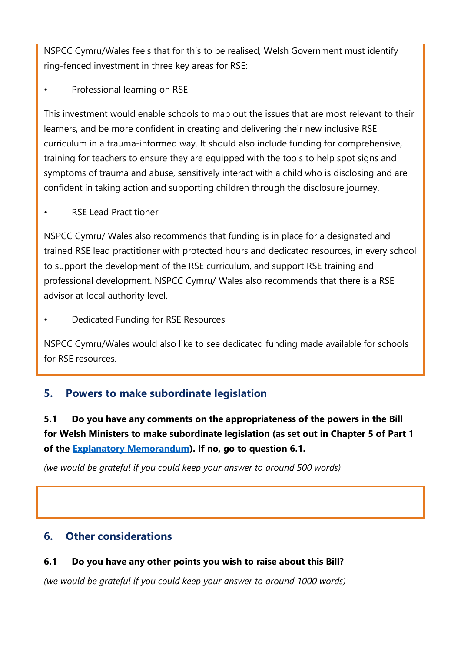NSPCC Cymru/Wales feels that for this to be realised, Welsh Government must identify ring-fenced investment in three key areas for RSE:

Professional learning on RSE

This investment would enable schools to map out the issues that are most relevant to their learners, and be more confident in creating and delivering their new inclusive RSE curriculum in a trauma-informed way. It should also include funding for comprehensive, training for teachers to ensure they are equipped with the tools to help spot signs and symptoms of trauma and abuse, sensitively interact with a child who is disclosing and are confident in taking action and supporting children through the disclosure journey.

• RSE Lead Practitioner

NSPCC Cymru/ Wales also recommends that funding is in place for a designated and trained RSE lead practitioner with protected hours and dedicated resources, in every school to support the development of the RSE curriculum, and support RSE training and professional development. NSPCC Cymru/ Wales also recommends that there is a RSE advisor at local authority level.

• Dedicated Funding for RSE Resources

NSPCC Cymru/Wales would also like to see dedicated funding made available for schools for RSE resources.

# **5. Powers to make subordinate legislation**

**5.1 Do you have any comments on the appropriateness of the powers in the Bill for Welsh Ministers to make subordinate legislation (as set out in Chapter 5 of Part 1 of the [Explanatory Memorandum\)](https://senedd.wales/laid%20documents/pri-ld13294-em/pri-ld13294-em%20-e.pdf). If no, go to question 6.1.**

*(we would be grateful if you could keep your answer to around 500 words)*

# **6. Other considerations**

-

## **6.1 Do you have any other points you wish to raise about this Bill?**

*(we would be grateful if you could keep your answer to around 1000 words)*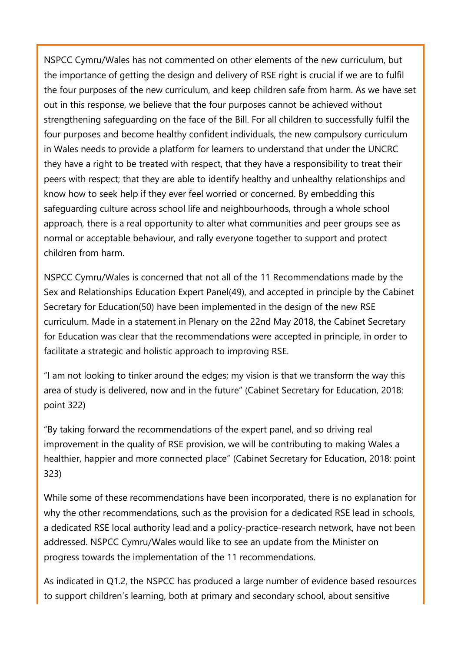NSPCC Cymru/Wales has not commented on other elements of the new curriculum, but the importance of getting the design and delivery of RSE right is crucial if we are to fulfil the four purposes of the new curriculum, and keep children safe from harm. As we have set out in this response, we believe that the four purposes cannot be achieved without strengthening safeguarding on the face of the Bill. For all children to successfully fulfil the four purposes and become healthy confident individuals, the new compulsory curriculum in Wales needs to provide a platform for learners to understand that under the UNCRC they have a right to be treated with respect, that they have a responsibility to treat their peers with respect; that they are able to identify healthy and unhealthy relationships and know how to seek help if they ever feel worried or concerned. By embedding this safeguarding culture across school life and neighbourhoods, through a whole school approach, there is a real opportunity to alter what communities and peer groups see as normal or acceptable behaviour, and rally everyone together to support and protect children from harm.

NSPCC Cymru/Wales is concerned that not all of the 11 Recommendations made by the Sex and Relationships Education Expert Panel(49), and accepted in principle by the Cabinet Secretary for Education(50) have been implemented in the design of the new RSE curriculum. Made in a statement in Plenary on the 22nd May 2018, the Cabinet Secretary for Education was clear that the recommendations were accepted in principle, in order to facilitate a strategic and holistic approach to improving RSE.

"I am not looking to tinker around the edges; my vision is that we transform the way this area of study is delivered, now and in the future" (Cabinet Secretary for Education, 2018: point 322)

"By taking forward the recommendations of the expert panel, and so driving real improvement in the quality of RSE provision, we will be contributing to making Wales a healthier, happier and more connected place" (Cabinet Secretary for Education, 2018: point 323)

While some of these recommendations have been incorporated, there is no explanation for why the other recommendations, such as the provision for a dedicated RSE lead in schools, a dedicated RSE local authority lead and a policy-practice-research network, have not been addressed. NSPCC Cymru/Wales would like to see an update from the Minister on progress towards the implementation of the 11 recommendations.

As indicated in Q1.2, the NSPCC has produced a large number of evidence based resources to support children's learning, both at primary and secondary school, about sensitive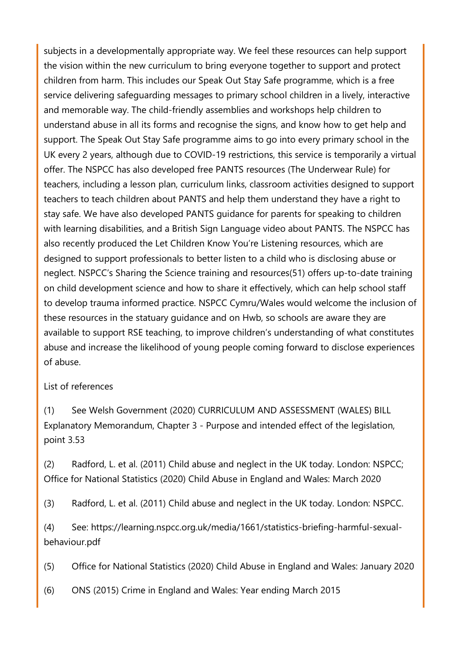subjects in a developmentally appropriate way. We feel these resources can help support the vision within the new curriculum to bring everyone together to support and protect children from harm. This includes our Speak Out Stay Safe programme, which is a free service delivering safeguarding messages to primary school children in a lively, interactive and memorable way. The child-friendly assemblies and workshops help children to understand abuse in all its forms and recognise the signs, and know how to get help and support. The Speak Out Stay Safe programme aims to go into every primary school in the UK every 2 years, although due to COVID-19 restrictions, this service is temporarily a virtual offer. The NSPCC has also developed free PANTS resources (The Underwear Rule) for teachers, including a lesson plan, curriculum links, classroom activities designed to support teachers to teach children about PANTS and help them understand they have a right to stay safe. We have also developed PANTS guidance for parents for speaking to children with learning disabilities, and a British Sign Language video about PANTS. The NSPCC has also recently produced the Let Children Know You're Listening resources, which are designed to support professionals to better listen to a child who is disclosing abuse or neglect. NSPCC's Sharing the Science training and resources(51) offers up-to-date training on child development science and how to share it effectively, which can help school staff to develop trauma informed practice. NSPCC Cymru/Wales would welcome the inclusion of these resources in the statuary guidance and on Hwb, so schools are aware they are available to support RSE teaching, to improve children's understanding of what constitutes abuse and increase the likelihood of young people coming forward to disclose experiences of abuse.

#### List of references

(1) See Welsh Government (2020) CURRICULUM AND ASSESSMENT (WALES) BILL Explanatory Memorandum, Chapter 3 - Purpose and intended effect of the legislation, point 3.53

(2) Radford, L. et al. (2011) Child abuse and neglect in the UK today. London: NSPCC; Office for National Statistics (2020) Child Abuse in England and Wales: March 2020

(3) Radford, L. et al. (2011) Child abuse and neglect in the UK today. London: NSPCC.

(4) See: https://learning.nspcc.org.uk/media/1661/statistics-briefing-harmful-sexualbehaviour.pdf

(5) Office for National Statistics (2020) Child Abuse in England and Wales: January 2020

(6) ONS (2015) Crime in England and Wales: Year ending March 2015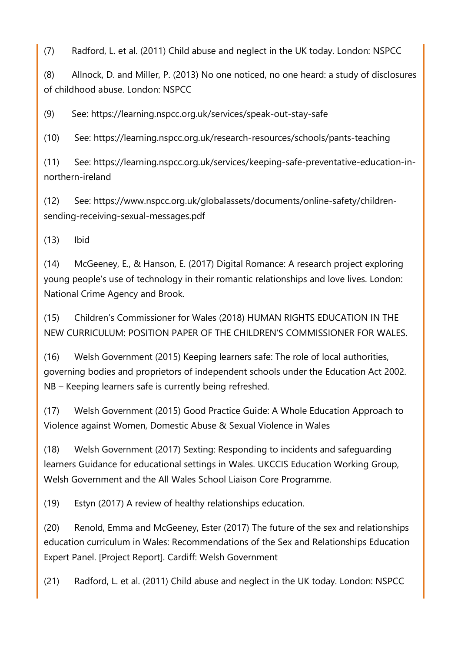(7) Radford, L. et al. (2011) Child abuse and neglect in the UK today. London: NSPCC

(8) Allnock, D. and Miller, P. (2013) No one noticed, no one heard: a study of disclosures of childhood abuse. London: NSPCC

(9) See: https://learning.nspcc.org.uk/services/speak-out-stay-safe

(10) See: https://learning.nspcc.org.uk/research-resources/schools/pants-teaching

(11) See: https://learning.nspcc.org.uk/services/keeping-safe-preventative-education-innorthern-ireland

(12) See: https://www.nspcc.org.uk/globalassets/documents/online-safety/childrensending-receiving-sexual-messages.pdf

(13) Ibid

(14) McGeeney, E., & Hanson, E. (2017) Digital Romance: A research project exploring young people's use of technology in their romantic relationships and love lives. London: National Crime Agency and Brook.

(15) Children's Commissioner for Wales (2018) HUMAN RIGHTS EDUCATION IN THE NEW CURRICULUM: POSITION PAPER OF THE CHILDREN'S COMMISSIONER FOR WALES.

(16) Welsh Government (2015) Keeping learners safe: The role of local authorities, governing bodies and proprietors of independent schools under the Education Act 2002. NB – Keeping learners safe is currently being refreshed.

(17) Welsh Government (2015) Good Practice Guide: A Whole Education Approach to Violence against Women, Domestic Abuse & Sexual Violence in Wales

(18) Welsh Government (2017) Sexting: Responding to incidents and safeguarding learners Guidance for educational settings in Wales. UKCCIS Education Working Group, Welsh Government and the All Wales School Liaison Core Programme.

(19) Estyn (2017) A review of healthy relationships education.

(20) Renold, Emma and McGeeney, Ester (2017) The future of the sex and relationships education curriculum in Wales: Recommendations of the Sex and Relationships Education Expert Panel. [Project Report]. Cardiff: Welsh Government

(21) Radford, L. et al. (2011) Child abuse and neglect in the UK today. London: NSPCC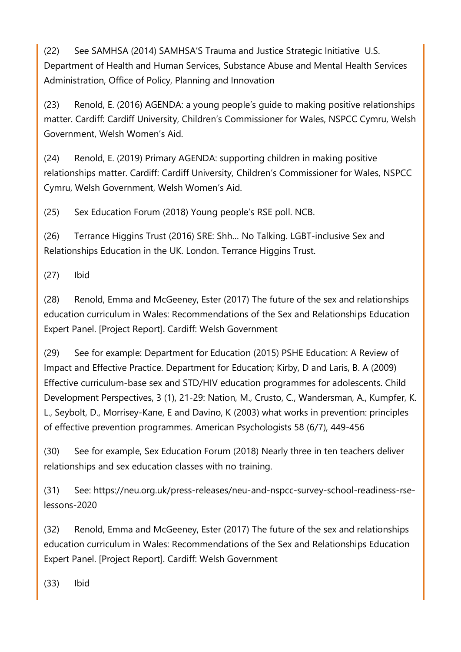(22) See SAMHSA (2014) SAMHSA'S Trauma and Justice Strategic Initiative U.S. Department of Health and Human Services, Substance Abuse and Mental Health Services Administration, Office of Policy, Planning and Innovation

(23) Renold, E. (2016) AGENDA: a young people's guide to making positive relationships matter. Cardiff: Cardiff University, Children's Commissioner for Wales, NSPCC Cymru, Welsh Government, Welsh Women's Aid.

(24) Renold, E. (2019) Primary AGENDA: supporting children in making positive relationships matter. Cardiff: Cardiff University, Children's Commissioner for Wales, NSPCC Cymru, Welsh Government, Welsh Women's Aid.

(25) Sex Education Forum (2018) Young people's RSE poll. NCB.

(26) Terrance Higgins Trust (2016) SRE: Shh… No Talking. LGBT-inclusive Sex and Relationships Education in the UK. London. Terrance Higgins Trust.

(27) Ibid

(28) Renold, Emma and McGeeney, Ester (2017) The future of the sex and relationships education curriculum in Wales: Recommendations of the Sex and Relationships Education Expert Panel. [Project Report]. Cardiff: Welsh Government

(29) See for example: Department for Education (2015) PSHE Education: A Review of Impact and Effective Practice. Department for Education; Kirby, D and Laris, B. A (2009) Effective curriculum-base sex and STD/HIV education programmes for adolescents. Child Development Perspectives, 3 (1), 21-29: Nation, M., Crusto, C., Wandersman, A., Kumpfer, K. L., Seybolt, D., Morrisey-Kane, E and Davino, K (2003) what works in prevention: principles of effective prevention programmes. American Psychologists 58 (6/7), 449-456

(30) See for example, Sex Education Forum (2018) Nearly three in ten teachers deliver relationships and sex education classes with no training.

(31) See: https://neu.org.uk/press-releases/neu-and-nspcc-survey-school-readiness-rselessons-2020

(32) Renold, Emma and McGeeney, Ester (2017) The future of the sex and relationships education curriculum in Wales: Recommendations of the Sex and Relationships Education Expert Panel. [Project Report]. Cardiff: Welsh Government

(33) Ibid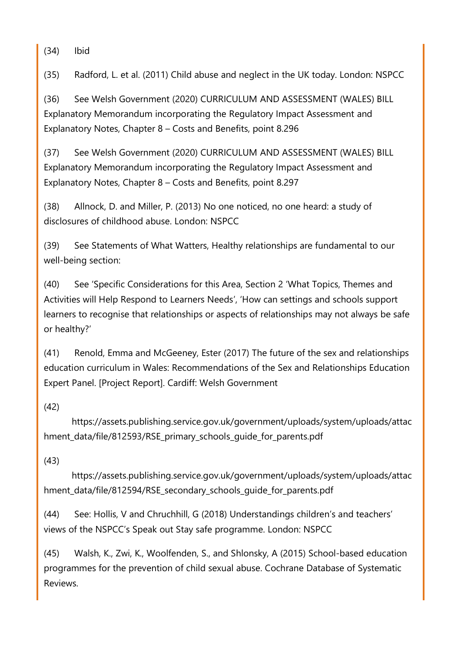(34) Ibid

(35) Radford, L. et al. (2011) Child abuse and neglect in the UK today. London: NSPCC

(36) See Welsh Government (2020) CURRICULUM AND ASSESSMENT (WALES) BILL Explanatory Memorandum incorporating the Regulatory Impact Assessment and Explanatory Notes, Chapter 8 – Costs and Benefits, point 8.296

(37) See Welsh Government (2020) CURRICULUM AND ASSESSMENT (WALES) BILL Explanatory Memorandum incorporating the Regulatory Impact Assessment and Explanatory Notes, Chapter 8 – Costs and Benefits, point 8.297

(38) Allnock, D. and Miller, P. (2013) No one noticed, no one heard: a study of disclosures of childhood abuse. London: NSPCC

(39) See Statements of What Watters, Healthy relationships are fundamental to our well-being section:

(40) See 'Specific Considerations for this Area, Section 2 'What Topics, Themes and Activities will Help Respond to Learners Needs', 'How can settings and schools support learners to recognise that relationships or aspects of relationships may not always be safe or healthy?'

(41) Renold, Emma and McGeeney, Ester (2017) The future of the sex and relationships education curriculum in Wales: Recommendations of the Sex and Relationships Education Expert Panel. [Project Report]. Cardiff: Welsh Government

## (42)

https://assets.publishing.service.gov.uk/government/uploads/system/uploads/attac hment data/file/812593/RSE\_primary\_schools\_quide\_for\_parents.pdf

## (43)

https://assets.publishing.service.gov.uk/government/uploads/system/uploads/attac hment data/file/812594/RSE secondary schools quide for parents.pdf

(44) See: Hollis, V and Chruchhill, G (2018) Understandings children's and teachers' views of the NSPCC's Speak out Stay safe programme. London: NSPCC

(45) Walsh, K., Zwi, K., Woolfenden, S., and Shlonsky, A (2015) School-based education programmes for the prevention of child sexual abuse. Cochrane Database of Systematic Reviews.